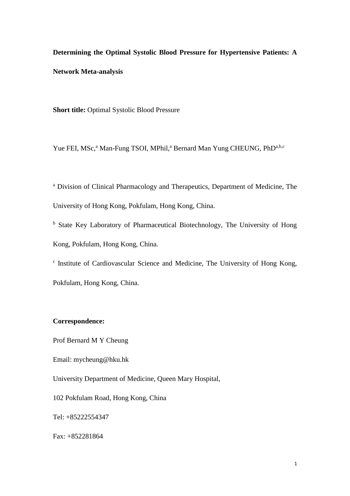**Determining the Optimal Systolic Blood Pressure for Hypertensive Patients: A Network Meta-analysis**

**Short title:** Optimal Systolic Blood Pressure

Yue FEI, MSc,<sup>a</sup> Man-Fung TSOI, MPhil,<sup>a</sup> Bernard Man Yung CHEUNG, PhD<sup>a,b,c</sup>

<sup>a</sup> Division of Clinical Pharmacology and Therapeutics, Department of Medicine, The University of Hong Kong, Pokfulam, Hong Kong, China.

<sup>b</sup> State Key Laboratory of Pharmaceutical Biotechnology, The University of Hong Kong, Pokfulam, Hong Kong, China.

c Institute of Cardiovascular Science and Medicine, The University of Hong Kong, Pokfulam, Hong Kong, China.

#### **Correspondence:**

Prof Bernard M Y Cheung

Email: mycheung@hku.hk

University Department of Medicine, Queen Mary Hospital,

102 Pokfulam Road, Hong Kong, China

Tel: +85222554347

Fax: +852281864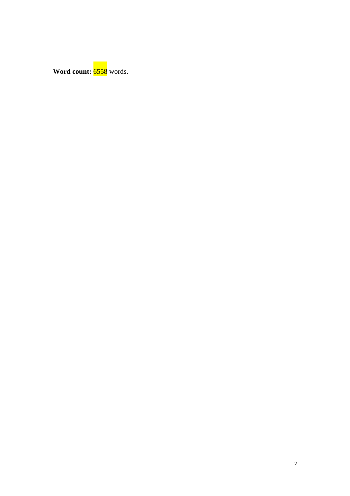**Word count:** 6558 words.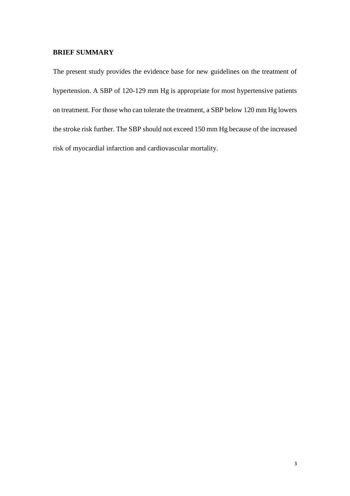## **BRIEF SUMMARY**

The present study provides the evidence base for new guidelines on the treatment of hypertension. A SBP of 120-129 mm Hg is appropriate for most hypertensive patients on treatment. For those who can tolerate the treatment, a SBP below 120 mm Hg lowers the stroke risk further. The SBP should not exceed 150 mm Hg because of the increased risk of myocardial infarction and cardiovascular mortality.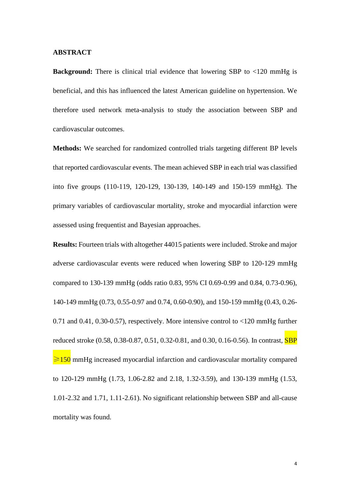#### **ABSTRACT**

**Background:** There is clinical trial evidence that lowering SBP to <120 mmHg is beneficial, and this has influenced the latest American guideline on hypertension. We therefore used network meta-analysis to study the association between SBP and cardiovascular outcomes.

**Methods:** We searched for randomized controlled trials targeting different BP levels that reported cardiovascular events. The mean achieved SBP in each trial was classified into five groups (110-119, 120-129, 130-139, 140-149 and 150-159 mmHg). The primary variables of cardiovascular mortality, stroke and myocardial infarction were assessed using frequentist and Bayesian approaches.

**Results:** Fourteen trials with altogether 44015 patients were included. Stroke and major adverse cardiovascular events were reduced when lowering SBP to 120-129 mmHg compared to 130-139 mmHg (odds ratio 0.83, 95% CI 0.69-0.99 and 0.84, 0.73-0.96), 140-149 mmHg (0.73, 0.55-0.97 and 0.74, 0.60-0.90), and 150-159 mmHg (0.43, 0.26- 0.71 and 0.41, 0.30-0.57), respectively. More intensive control to <120 mmHg further reduced stroke (0.58, 0.38-0.87, 0.51, 0.32-0.81, and 0.30, 0.16-0.56). In contrast, **SBP**  $\geq 150$  mmHg increased myocardial infarction and cardiovascular mortality compared to 120-129 mmHg (1.73, 1.06-2.82 and 2.18, 1.32-3.59), and 130-139 mmHg (1.53, 1.01-2.32 and 1.71, 1.11-2.61). No significant relationship between SBP and all-cause mortality was found.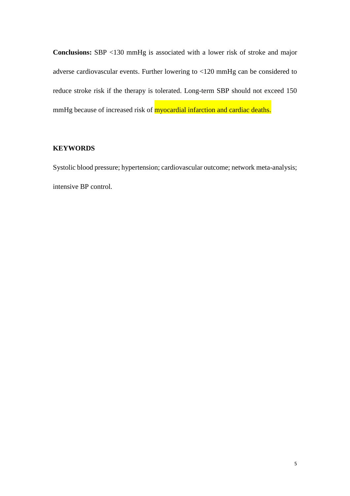**Conclusions:** SBP <130 mmHg is associated with a lower risk of stroke and major adverse cardiovascular events. Further lowering to <120 mmHg can be considered to reduce stroke risk if the therapy is tolerated. Long-term SBP should not exceed 150 mmHg because of increased risk of **myocardial infarction and cardiac deaths.** 

### **KEYWORDS**

Systolic blood pressure; hypertension; cardiovascular outcome; network meta-analysis; intensive BP control.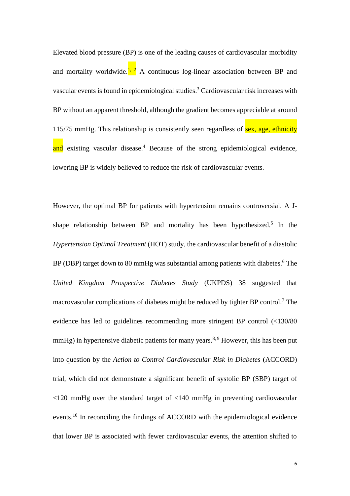Elevated blood pressure (BP) is one of the leading causes of cardiovascular morbidity and mortality worldwide. $\frac{1}{2}$  A continuous log-linear association between BP and vascular events is found in epidemiological studies. <sup>3</sup> Cardiovascular risk increases with BP without an apparent threshold, although the gradient becomes appreciable at around 115/75 mmHg. This relationship is consistently seen regardless of sex, age, ethnicity and existing vascular disease.<sup>4</sup> Because of the strong epidemiological evidence, lowering BP is widely believed to reduce the risk of cardiovascular events.

However, the optimal BP for patients with hypertension remains controversial. A Jshape relationship between BP and mortality has been hypothesized.<sup>5</sup> In the *Hypertension Optimal Treatment* (HOT) study, the cardiovascular benefit of a diastolic BP (DBP) target down to 80 mmHg was substantial among patients with diabetes.<sup>6</sup> The *United Kingdom Prospective Diabetes Study* (UKPDS) 38 suggested that macrovascular complications of diabetes might be reduced by tighter BP control.<sup>7</sup> The evidence has led to guidelines recommending more stringent BP control (<130/80 mmHg) in hypertensive diabetic patients for many years.<sup>8, 9</sup> However, this has been put into question by the *Action to Control Cardiovascular Risk in Diabetes* (ACCORD) trial, which did not demonstrate a significant benefit of systolic BP (SBP) target of <120 mmHg over the standard target of <140 mmHg in preventing cardiovascular events.<sup>10</sup> In reconciling the findings of ACCORD with the epidemiological evidence that lower BP is associated with fewer cardiovascular events, the attention shifted to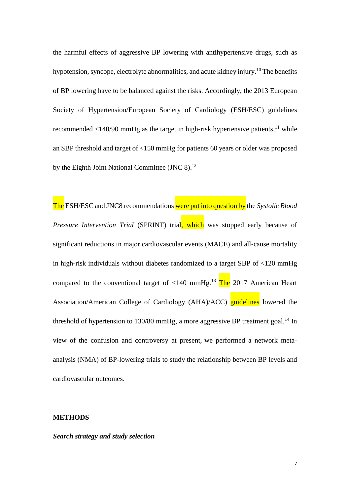the harmful effects of aggressive BP lowering with antihypertensive drugs, such as hypotension, syncope, electrolyte abnormalities, and acute kidney injury.<sup>10</sup> The benefits of BP lowering have to be balanced against the risks. Accordingly, the 2013 European Society of Hypertension/European Society of Cardiology (ESH/ESC) guidelines recommended  $\langle 140/90 \text{ mmHg}$  as the target in high-risk hypertensive patients, <sup>11</sup> while an SBP threshold and target of <150 mmHg for patients 60 years or older was proposed by the Eighth Joint National Committee (JNC 8).<sup>12</sup>

The ESH/ESC and JNC8 recommendations were put into question by the *Systolic Blood Pressure Intervention Trial* (SPRINT) trial, which was stopped early because of significant reductions in major cardiovascular events (MACE) and all-cause mortality in high-risk individuals without diabetes randomized to a target SBP of <120 mmHg compared to the conventional target of <140 mmHg.<sup>13</sup> The 2017 American Heart Association/American College of Cardiology (AHA)/ACC) guidelines lowered the threshold of hypertension to 130/80 mmHg, a more aggressive BP treatment goal.<sup>14</sup> In view of the confusion and controversy at present, we performed a network metaanalysis (NMA) of BP-lowering trials to study the relationship between BP levels and cardiovascular outcomes.

#### **METHODS**

#### *Search strategy and study selection*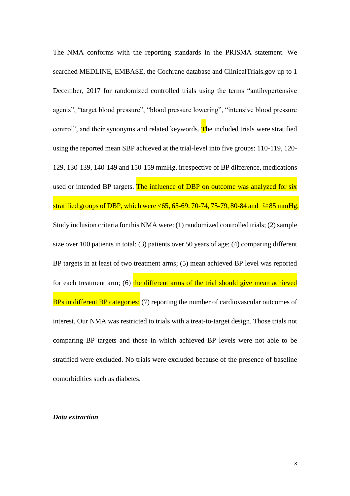The NMA conforms with the reporting standards in the PRISMA statement. We searched MEDLINE, EMBASE, the Cochrane database and ClinicalTrials.gov up to 1 December, 2017 for randomized controlled trials using the terms "antihypertensive agents", "target blood pressure", "blood pressure lowering", "intensive blood pressure control", and their synonyms and related keywords. The included trials were stratified using the reported mean SBP achieved at the trial-level into five groups: 110-119, 120- 129, 130-139, 140-149 and 150-159 mmHg, irrespective of BP difference, medications used or intended BP targets. The influence of DBP on outcome was analyzed for six stratified groups of DBP, which were <65, 65-69, 70-74, 75-79, 80-84 and  $≥85$  mmHg. Study inclusion criteria for this NMA were: (1) randomized controlled trials; (2) sample size over 100 patients in total; (3) patients over 50 years of age; (4) comparing different BP targets in at least of two treatment arms; (5) mean achieved BP level was reported for each treatment arm;  $(6)$  the different arms of the trial should give mean achieved BPs in different BP categories; (7) reporting the number of cardiovascular outcomes of interest. Our NMA was restricted to trials with a treat-to-target design. Those trials not comparing BP targets and those in which achieved BP levels were not able to be stratified were excluded. No trials were excluded because of the presence of baseline comorbidities such as diabetes.

#### *Data extraction*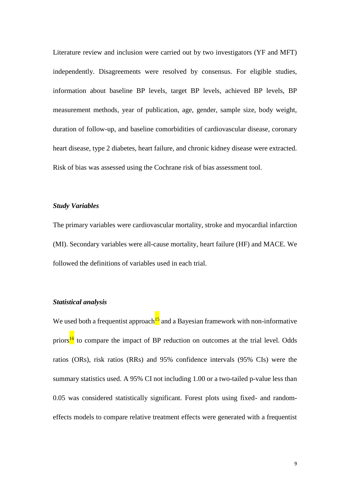Literature review and inclusion were carried out by two investigators (YF and MFT) independently. Disagreements were resolved by consensus. For eligible studies, information about baseline BP levels, target BP levels, achieved BP levels, BP measurement methods, year of publication, age, gender, sample size, body weight, duration of follow-up, and baseline comorbidities of cardiovascular disease, coronary heart disease, type 2 diabetes, heart failure, and chronic kidney disease were extracted. Risk of bias was assessed using the Cochrane risk of bias assessment tool.

#### *Study Variables*

The primary variables were cardiovascular mortality, stroke and myocardial infarction (MI). Secondary variables were all-cause mortality, heart failure (HF) and MACE. We followed the definitions of variables used in each trial.

#### *Statistical analysis*

We used both a frequentist approach<sup>15</sup> and a Bayesian framework with non-informative priors<sup>16</sup> to compare the impact of BP reduction on outcomes at the trial level. Odds ratios (ORs), risk ratios (RRs) and 95% confidence intervals (95% CIs) were the summary statistics used. A 95% CI not including 1.00 or a two-tailed p-value less than 0.05 was considered statistically significant. Forest plots using fixed- and randomeffects models to compare relative treatment effects were generated with a frequentist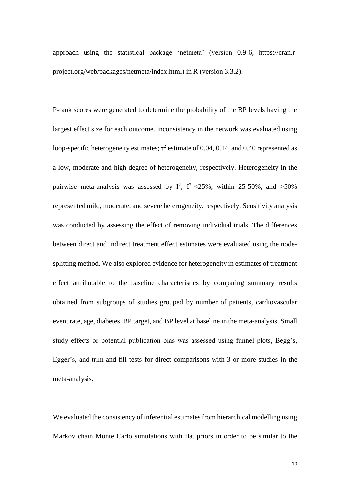approach using the statistical package 'netmeta' (version 0.9-6, https://cran.rproject.org/web/packages/netmeta/index.html) in R (version 3.3.2).

P-rank scores were generated to determine the probability of the BP levels having the largest effect size for each outcome. Inconsistency in the network was evaluated using loop-specific heterogeneity estimates;  $\tau^2$  estimate of 0.04, 0.14, and 0.40 represented as a low, moderate and high degree of heterogeneity, respectively. Heterogeneity in the pairwise meta-analysis was assessed by  $I^2$ ;  $I^2$  <25%, within 25-50%, and >50% represented mild, moderate, and severe heterogeneity, respectively. Sensitivity analysis was conducted by assessing the effect of removing individual trials. The differences between direct and indirect treatment effect estimates were evaluated using the nodesplitting method. We also explored evidence for heterogeneity in estimates of treatment effect attributable to the baseline characteristics by comparing summary results obtained from subgroups of studies grouped by number of patients, cardiovascular event rate, age, diabetes, BP target, and BP level at baseline in the meta-analysis. Small study effects or potential publication bias was assessed using funnel plots, Begg's, Egger's, and trim-and-fill tests for direct comparisons with 3 or more studies in the meta-analysis.

We evaluated the consistency of inferential estimates from hierarchical modelling using Markov chain Monte Carlo simulations with flat priors in order to be similar to the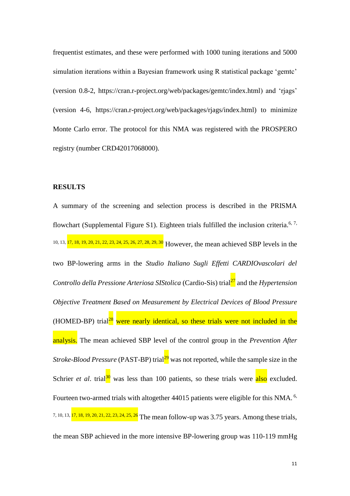frequentist estimates, and these were performed with 1000 tuning iterations and 5000 simulation iterations within a Bayesian framework using R statistical package 'gemtc' (version 0.8-2, [https://cran.r-project.org/web/packages/gemtc/index.html\)](https://cran.r-project.org/web/packages/gemtc/index.html) and 'rjags' (version 4-6, [https://cran.r-project.org/web/packages/rjags/index.html\)](https://cran.r-project.org/web/packages/rjags/index.html)) to minimize Monte Carlo error. The protocol for this NMA was registered with the PROSPERO registry (number CRD42017068000).

#### **RESULTS**

A summary of the screening and selection process is described in the PRISMA flowchart (Supplemental Figure S1). Eighteen trials fulfilled the inclusion criteria.<sup>6, 7,</sup> 10, 13, 17, 18, 19, 20, 21, 22, 23, 24, 25, 26, 27, 28, 29, 30 However, the mean achieved SBP levels in the two BP-lowering arms in the *Studio Italiano Sugli Effetti CARDIOvascolari del*  Controllo della Pressione Arteriosa SIStolica (Cardio-Sis) trial<sup>27</sup> and the *Hypertension Objective Treatment Based on Measurement by Electrical Devices of Blood Pressure* (HOMED-BP) trial<sup>28</sup> were nearly identical, so these trials were not included in the analysis. The mean achieved SBP level of the control group in the *Prevention After Stroke-Blood Pressure* (PAST-BP) trial<sup>29</sup> was not reported, while the sample size in the Schrier *et al.* trial<sup>30</sup> was less than 100 patients, so these trials were  $\frac{also}{also}$  excluded. Fourteen two-armed trials with altogether 44015 patients were eligible for this NMA.<sup>6,</sup> 7, 10, 13, 17, 18, 19, 20, 21, 22, 23, 24, 25, 26 The mean follow-up was 3.75 years. Among these trials, the mean SBP achieved in the more intensive BP-lowering group was 110-119 mmHg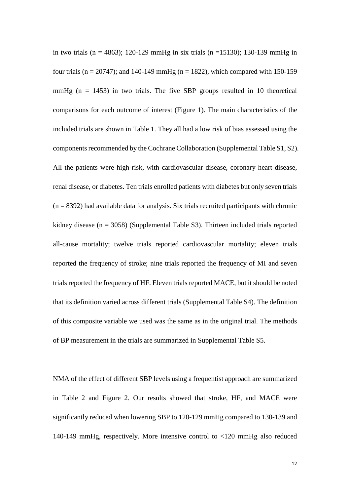in two trials (n = 4863); 120-129 mmHg in six trials (n = 15130); 130-139 mmHg in four trials ( $n = 20747$ ); and 140-149 mmHg ( $n = 1822$ ), which compared with 150-159 mmHg ( $n = 1453$ ) in two trials. The five SBP groups resulted in 10 theoretical comparisons for each outcome of interest (Figure 1). The main characteristics of the included trials are shown in Table 1. They all had a low risk of bias assessed using the components recommended by the Cochrane Collaboration (Supplemental Table S1, S2). All the patients were high-risk, with cardiovascular disease, coronary heart disease, renal disease, or diabetes. Ten trials enrolled patients with diabetes but only seven trials  $(n = 8392)$  had available data for analysis. Six trials recruited participants with chronic kidney disease (n = 3058) (Supplemental Table S3). Thirteen included trials reported all-cause mortality; twelve trials reported cardiovascular mortality; eleven trials reported the frequency of stroke; nine trials reported the frequency of MI and seven trials reported the frequency of HF. Eleven trials reported MACE, but it should be noted that its definition varied across different trials (Supplemental Table S4). The definition of this composite variable we used was the same as in the original trial. The methods of BP measurement in the trials are summarized in Supplemental Table S5.

NMA of the effect of different SBP levels using a frequentist approach are summarized in Table 2 and Figure 2. Our results showed that stroke, HF, and MACE were significantly reduced when lowering SBP to 120-129 mmHg compared to 130-139 and 140-149 mmHg, respectively. More intensive control to <120 mmHg also reduced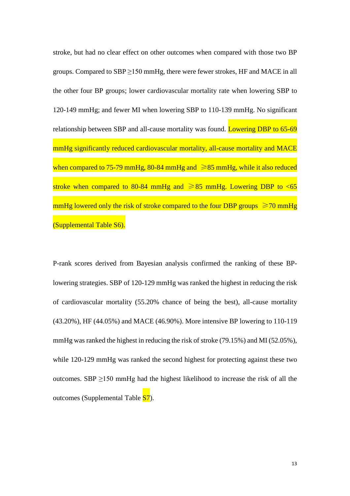stroke, but had no clear effect on other outcomes when compared with those two BP groups. Compared to SBP ≥150 mmHg, there were fewer strokes, HF and MACE in all the other four BP groups; lower cardiovascular mortality rate when lowering SBP to 120-149 mmHg; and fewer MI when lowering SBP to 110-139 mmHg. No significant relationship between SBP and all-cause mortality was found. Lowering DBP to 65-69 mmHg significantly reduced cardiovascular mortality, all-cause mortality and MACE when compared to 75-79 mmHg, 80-84 mmHg and  $\geq 85$  mmHg, while it also reduced stroke when compared to 80-84 mmHg and  $\geq 85$  mmHg. Lowering DBP to <65 mmHg lowered only the risk of stroke compared to the four DBP groups  $\geq 70$  mmHg (Supplemental Table S6).

P-rank scores derived from Bayesian analysis confirmed the ranking of these BPlowering strategies. SBP of 120-129 mmHg was ranked the highest in reducing the risk of cardiovascular mortality (55.20% chance of being the best), all-cause mortality (43.20%), HF (44.05%) and MACE (46.90%). More intensive BP lowering to 110-119 mmHg was ranked the highest in reducing the risk of stroke (79.15%) and MI (52.05%), while 120-129 mmHg was ranked the second highest for protecting against these two outcomes. SBP  $\geq$ 150 mmHg had the highest likelihood to increase the risk of all the outcomes (Supplemental Table S7).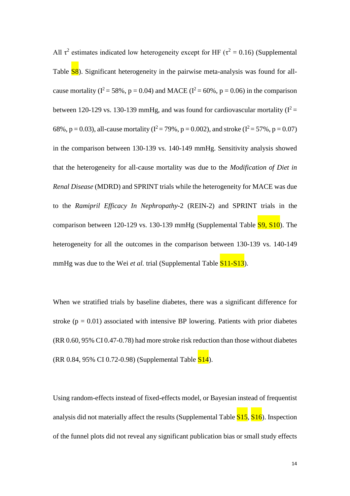All  $\tau^2$  estimates indicated low heterogeneity except for HF ( $\tau^2 = 0.16$ ) (Supplemental Table **S8**). Significant heterogeneity in the pairwise meta-analysis was found for allcause mortality ( $I^2 = 58\%$ ,  $p = 0.04$ ) and MACE ( $I^2 = 60\%$ ,  $p = 0.06$ ) in the comparison between 120-129 vs. 130-139 mmHg, and was found for cardiovascular mortality  $(I^2 =$ 68%, p = 0.03), all-cause mortality ( $I^2 = 79$ %, p = 0.002), and stroke ( $I^2 = 57$ %, p = 0.07) in the comparison between 130-139 vs. 140-149 mmHg. Sensitivity analysis showed that the heterogeneity for all-cause mortality was due to the *Modification of Diet in Renal Disease* (MDRD) and SPRINT trials while the heterogeneity for MACE was due to the *Ramipril Efficacy In Nephropathy*-2 (REIN-2) and SPRINT trials in the comparison between 120-129 vs. 130-139 mmHg (Supplemental Table  $\overline{S9, S10}$ ). The heterogeneity for all the outcomes in the comparison between 130-139 vs. 140-149 mmHg was due to the Wei *et al.* trial (Supplemental Table **S11-S13**).

When we stratified trials by baseline diabetes, there was a significant difference for stroke ( $p = 0.01$ ) associated with intensive BP lowering. Patients with prior diabetes (RR 0.60, 95% CI 0.47-0.78) had more stroke risk reduction than those without diabetes (RR 0.84, 95% CI 0.72-0.98) (Supplemental Table S14).

Using random-effects instead of fixed-effects model, or Bayesian instead of frequentist analysis did not materially affect the results (Supplemental Table  $\frac{S15}{S16}$ ). Inspection of the funnel plots did not reveal any significant publication bias or small study effects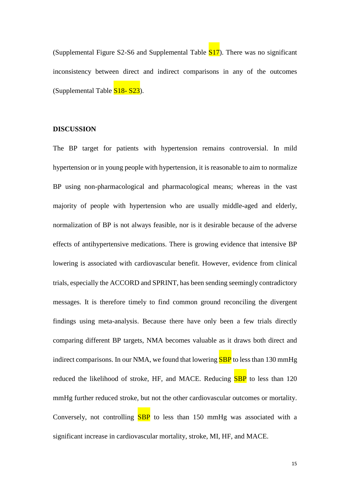(Supplemental Figure S2-S6 and Supplemental Table S17). There was no significant inconsistency between direct and indirect comparisons in any of the outcomes (Supplemental Table S18- S23).

#### **DISCUSSION**

The BP target for patients with hypertension remains controversial. In mild hypertension or in young people with hypertension, it is reasonable to aim to normalize BP using non-pharmacological and pharmacological means; whereas in the vast majority of people with hypertension who are usually middle-aged and elderly, normalization of BP is not always feasible, nor is it desirable because of the adverse effects of antihypertensive medications. There is growing evidence that intensive BP lowering is associated with cardiovascular benefit. However, evidence from clinical trials, especially the ACCORD and SPRINT, has been sending seemingly contradictory messages. It is therefore timely to find common ground reconciling the divergent findings using meta-analysis. Because there have only been a few trials directly comparing different BP targets, NMA becomes valuable as it draws both direct and indirect comparisons. In our NMA, we found that lowering **SBP** to less than 130 mmHg reduced the likelihood of stroke, HF, and MACE. Reducing **SBP** to less than 120 mmHg further reduced stroke, but not the other cardiovascular outcomes or mortality. Conversely, not controlling  $SBP$  to less than 150 mmHg was associated with a significant increase in cardiovascular mortality, stroke, MI, HF, and MACE.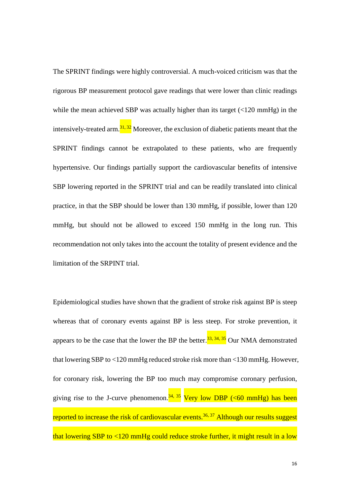The SPRINT findings were highly controversial. A much-voiced criticism was that the rigorous BP measurement protocol gave readings that were lower than clinic readings while the mean achieved SBP was actually higher than its target (<120 mmHg) in the intensively-treated arm.<sup>31, 32</sup> Moreover, the exclusion of diabetic patients meant that the SPRINT findings cannot be extrapolated to these patients, who are frequently hypertensive. Our findings partially support the cardiovascular benefits of intensive SBP lowering reported in the SPRINT trial and can be readily translated into clinical practice, in that the SBP should be lower than 130 mmHg, if possible, lower than 120 mmHg, but should not be allowed to exceed 150 mmHg in the long run. This recommendation not only takes into the account the totality of present evidence and the limitation of the SRPINT trial.

Epidemiological studies have shown that the gradient of stroke risk against BP is steep whereas that of coronary events against BP is less steep. For stroke prevention, it appears to be the case that the lower the BP the better.<sup>33, 34, 35</sup> Our NMA demonstrated that lowering SBP to <120 mmHg reduced stroke risk more than <130 mmHg. However, for coronary risk, lowering the BP too much may compromise coronary perfusion, giving rise to the J-curve phenomenon.<sup>34, 35</sup> Very low DBP (<60 mmHg) has been reported to increase the risk of cardiovascular events.<sup>36, 37</sup> Although our results suggest that lowering SBP to  $\langle 120 \text{ mmHg}$  could reduce stroke further, it might result in a low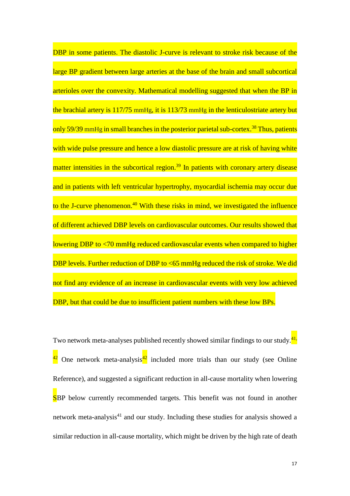DBP in some patients. The diastolic J-curve is relevant to stroke risk because of the large BP gradient between large arteries at the base of the brain and small subcortical arterioles over the convexity. Mathematical modelling suggested that when the BP in the brachial artery is 117/75 mmHg, it is 113/73 mmHg in the lenticulostriate artery but only 59/39 mmHg in small branches in the posterior parietal sub-cortex.<sup>38</sup> Thus, patients with wide pulse pressure and hence a low diastolic pressure are at risk of having white matter intensities in the subcortical region.<sup>39</sup> In patients with coronary artery disease and in patients with left ventricular hypertrophy, myocardial ischemia may occur due to the J-curve phenomenon.<sup>40</sup> With these risks in mind, we investigated the influence of different achieved DBP levels on cardiovascular outcomes. Our results showed that lowering DBP to <70 mmHg reduced cardiovascular events when compared to higher DBP levels. Further reduction of DBP to <65 mmHg reduced the risk of stroke. We did not find any evidence of an increase in cardiovascular events with very low achieved DBP, but that could be due to insufficient patient numbers with these low BPs.

Two network meta-analyses published recently showed similar findings to our study. $\frac{41}{11}$ One network meta-analysis $\frac{42}{1}$  included more trials than our study (see Online Reference), and suggested a significant reduction in all-cause mortality when lowering SBP below currently recommended targets. This benefit was not found in another network meta-analysis<sup>41</sup> and our study. Including these studies for analysis showed a similar reduction in all-cause mortality, which might be driven by the high rate of death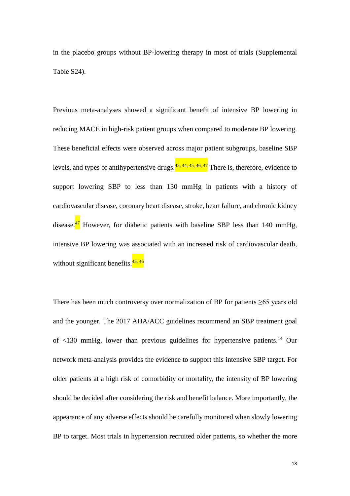in the placebo groups without BP-lowering therapy in most of trials (Supplemental Table S24).

Previous meta-analyses showed a significant benefit of intensive BP lowering in reducing MACE in high-risk patient groups when compared to moderate BP lowering. These beneficial effects were observed across major patient subgroups, baseline SBP levels, and types of antihypertensive drugs.<sup>43, 44, 45, 46, 47</sup> There is, therefore, evidence to support lowering SBP to less than 130 mmHg in patients with a history of cardiovascular disease, coronary heart disease, stroke, heart failure, and chronic kidney disease. $\frac{47}{1}$  However, for diabetic patients with baseline SBP less than 140 mmHg, intensive BP lowering was associated with an increased risk of cardiovascular death, without significant benefits.<sup>45,46</sup>

There has been much controversy over normalization of BP for patients  $\geq 65$  years old and the younger. The 2017 AHA/ACC guidelines recommend an SBP treatment goal of  $\langle 130 \text{ mmHg}$ , lower than previous guidelines for hypertensive patients.<sup>14</sup> Our network meta-analysis provides the evidence to support this intensive SBP target. For older patients at a high risk of comorbidity or mortality, the intensity of BP lowering should be decided after considering the risk and benefit balance. More importantly, the appearance of any adverse effects should be carefully monitored when slowly lowering BP to target. Most trials in hypertension recruited older patients, so whether the more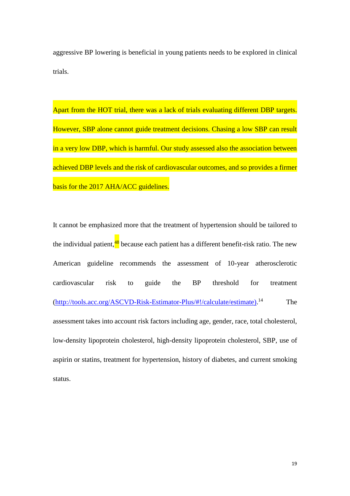aggressive BP lowering is beneficial in young patients needs to be explored in clinical trials.

Apart from the HOT trial, there was a lack of trials evaluating different DBP targets. However, SBP alone cannot guide treatment decisions. Chasing a low SBP can result in a very low DBP, which is harmful. Our study assessed also the association between achieved DBP levels and the risk of cardiovascular outcomes, and so provides a firmer basis for the 2017 AHA/ACC guidelines.

It cannot be emphasized more that the treatment of hypertension should be tailored to the individual patient, <sup>48</sup> because each patient has a different benefit-risk ratio. The new American guideline recommends the assessment of 10-year atherosclerotic cardiovascular risk to guide the BP threshold for treatment [\(http://tools.acc.org/ASCVD-Risk-Estimator-Plus/#!/calculate/estimate\).](http://tools.acc.org/ASCVD-Risk-Estimator-Plus/#!/calculate/estimate)) The assessment takes into account risk factors including age, gender, race, total cholesterol, low-density lipoprotein cholesterol, high-density lipoprotein cholesterol, SBP, use of aspirin or statins, treatment for hypertension, history of diabetes, and current smoking status.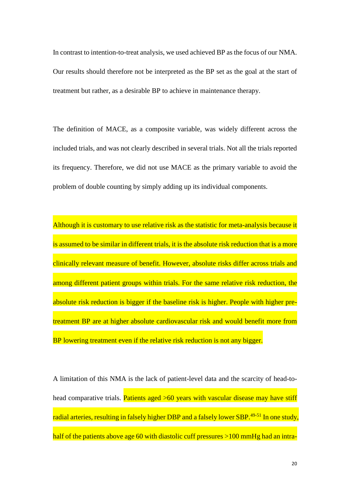In contrast to intention-to-treat analysis, we used achieved BP as the focus of our NMA. Our results should therefore not be interpreted as the BP set as the goal at the start of treatment but rather, as a desirable BP to achieve in maintenance therapy.

The definition of MACE, as a composite variable, was widely different across the included trials, and was not clearly described in several trials. Not all the trials reported its frequency. Therefore, we did not use MACE as the primary variable to avoid the problem of double counting by simply adding up its individual components.

Although it is customary to use relative risk as the statistic for meta-analysis because it is assumed to be similar in different trials, it is the absolute risk reduction that is a more clinically relevant measure of benefit. However, absolute risks differ across trials and among different patient groups within trials. For the same relative risk reduction, the absolute risk reduction is bigger if the baseline risk is higher. People with higher pretreatment BP are at higher absolute cardiovascular risk and would benefit more from BP lowering treatment even if the relative risk reduction is not any bigger.

A limitation of this NMA is the lack of patient-level data and the scarcity of head-tohead comparative trials. Patients aged >60 years with vascular disease may have stiff radial arteries, resulting in falsely higher DBP and a falsely lower SBP.<sup>49-51</sup> In one study, half of the patients above age 60 with diastolic cuff pressures >100 mmHg had an intra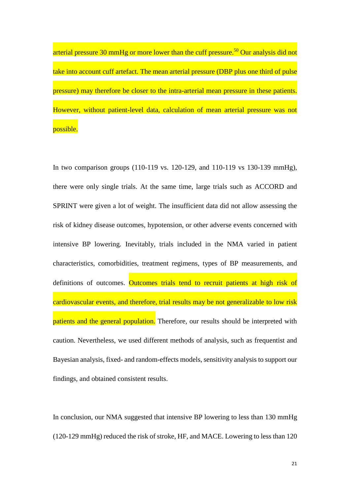arterial pressure 30 mmHg or more lower than the cuff pressure.<sup>50</sup> Our analysis did not take into account cuff artefact. The mean arterial pressure (DBP plus one third of pulse pressure) may therefore be closer to the intra-arterial mean pressure in these patients. However, without patient-level data, calculation of mean arterial pressure was not possible.

In two comparison groups (110-119 vs. 120-129, and 110-119 vs 130-139 mmHg), there were only single trials. At the same time, large trials such as ACCORD and SPRINT were given a lot of weight. The insufficient data did not allow assessing the risk of kidney disease outcomes, hypotension, or other adverse events concerned with intensive BP lowering. Inevitably, trials included in the NMA varied in patient characteristics, comorbidities, treatment regimens, types of BP measurements, and definitions of outcomes. Outcomes trials tend to recruit patients at high risk of cardiovascular events, and therefore, trial results may be not generalizable to low risk patients and the general population. Therefore, our results should be interpreted with caution. Nevertheless, we used different methods of analysis, such as frequentist and Bayesian analysis, fixed- and random-effects models, sensitivity analysis to support our findings, and obtained consistent results.

In conclusion, our NMA suggested that intensive BP lowering to less than 130 mmHg (120-129 mmHg) reduced the risk of stroke, HF, and MACE. Lowering to less than 120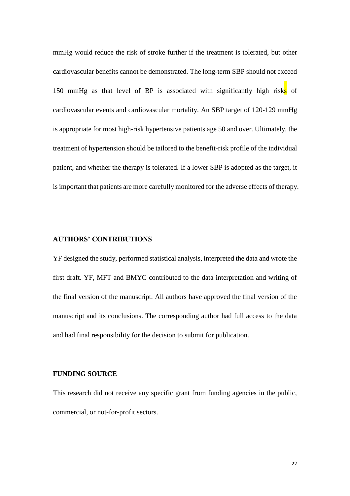mmHg would reduce the risk of stroke further if the treatment is tolerated, but other cardiovascular benefits cannot be demonstrated. The long-term SBP should not exceed 150 mmHg as that level of BP is associated with significantly high risks of cardiovascular events and cardiovascular mortality. An SBP target of 120-129 mmHg is appropriate for most high-risk hypertensive patients age 50 and over. Ultimately, the treatment of hypertension should be tailored to the benefit-risk profile of the individual patient, and whether the therapy is tolerated. If a lower SBP is adopted as the target, it is important that patients are more carefully monitored for the adverse effects of therapy.

#### **AUTHORS' CONTRIBUTIONS**

YF designed the study, performed statistical analysis, interpreted the data and wrote the first draft. YF, MFT and BMYC contributed to the data interpretation and writing of the final version of the manuscript. All authors have approved the final version of the manuscript and its conclusions. The corresponding author had full access to the data and had final responsibility for the decision to submit for publication.

#### **FUNDING SOURCE**

This research did not receive any specific grant from funding agencies in the public, commercial, or not-for-profit sectors.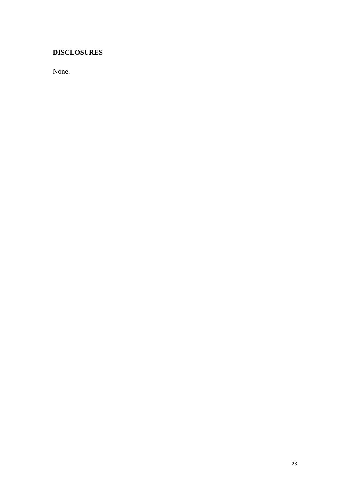## **DISCLOSURES**

None.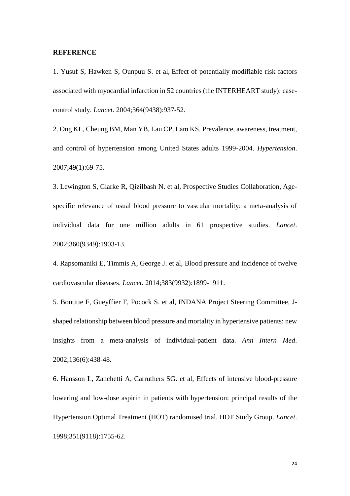#### **REFERENCE**

1. Yusuf S, Hawken S, Ounpuu S. et al, Effect of potentially modifiable risk factors associated with myocardial infarction in 52 countries (the INTERHEART study): casecontrol study. *Lancet*. 2004;364(9438):937-52.

2. Ong KL, Cheung BM, Man YB, Lau CP, Lam KS. Prevalence, awareness, treatment, and control of hypertension among United States adults 1999-2004. *Hypertension*. 2007;49(1):69-75.

3. Lewington S, Clarke R, Qizilbash N. et al, Prospective Studies Collaboration, Agespecific relevance of usual blood pressure to vascular mortality: a meta-analysis of individual data for one million adults in 61 prospective studies. *Lancet*. 2002;360(9349):1903-13.

4. Rapsomaniki E, Timmis A, George J. et al, Blood pressure and incidence of twelve cardiovascular diseases. *Lancet*. 2014;383(9932):1899-1911.

5. Boutitie F, Gueyffier F, Pocock S. et al, INDANA Project Steering Committee, Jshaped relationship between blood pressure and mortality in hypertensive patients: new insights from a meta-analysis of individual-patient data. *Ann Intern Med*. 2002;136(6):438-48.

6. Hansson L, Zanchetti A, Carruthers SG. et al, Effects of intensive blood-pressure lowering and low-dose aspirin in patients with hypertension: principal results of the Hypertension Optimal Treatment (HOT) randomised trial. HOT Study Group. *Lancet*. 1998;351(9118):1755-62.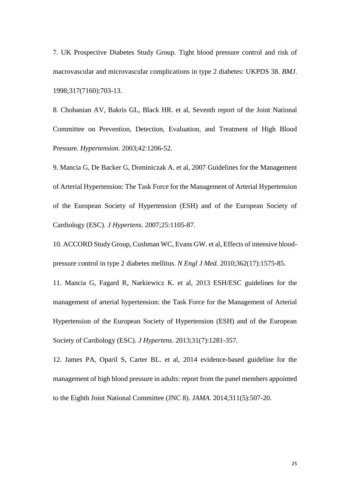7. UK Prospective Diabetes Study Group. Tight blood pressure control and risk of macrovascular and microvascular complications in type 2 diabetes: UKPDS 38. *BMJ*. 1998;317(7160):703-13.

8. Chobanian AV, Bakris GL, Black HR. et al, Seventh report of the Joint National Committee on Prevention, Detection, Evaluation, and Treatment of High Blood Pressure. *Hypertension*. 2003;42:1206-52.

9. Mancia G, De Backer G, Dominiczak A. et al, 2007 Guidelines for the Management of Arterial Hypertension: The Task Force for the Management of Arterial Hypertension of the European Society of Hypertension (ESH) and of the European Society of Cardiology (ESC). *J Hypertens*. 2007;25:1105-87.

10. ACCORD Study Group, Cushman WC, Evans GW. et al, Effects of intensive bloodpressure control in type 2 diabetes mellitus. *N Engl J Med*. 2010;362(17):1575-85.

11. Mancia G, Fagard R, Narkiewicz K. et al, 2013 ESH/ESC guidelines for the management of arterial hypertension: the Task Force for the Management of Arterial Hypertension of the European Society of Hypertension (ESH) and of the European Society of Cardiology (ESC). *J Hypertens*. 2013;31(7):1281-357.

12. James PA, Oparil S, Carter BL. et al, 2014 evidence-based guideline for the management of high blood pressure in adults: report from the panel members appointed to the Eighth Joint National Committee (JNC 8). *JAMA*. 2014;311(5):507-20.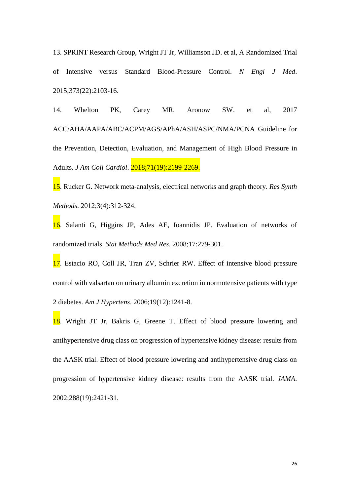13. SPRINT Research Group, Wright JT Jr, Williamson JD. et al, A Randomized Trial of Intensive versus Standard Blood-Pressure Control. *N Engl J Med*. 2015;373(22):2103-16.

14. Whelton PK, Carey MR, Aronow SW. et al, 2017 ACC/AHA/AAPA/ABC/ACPM/AGS/APhA/ASH/ASPC/NMA/PCNA Guideline for the Prevention, Detection, Evaluation, and Management of High Blood Pressure in Adults. *J Am Coll Cardiol*. 2018;71(19):2199-2269.

15. Rucker G. Network meta-analysis, electrical networks and graph theory. *Res Synth Methods*. 2012;3(4):312-324.

16. Salanti G, Higgins JP, Ades AE, Ioannidis JP. Evaluation of networks of randomized trials. *Stat Methods Med Res*. 2008;17:279-301.

17. Estacio RO, Coll JR, Tran ZV, Schrier RW. Effect of intensive blood pressure control with valsartan on urinary albumin excretion in normotensive patients with type 2 diabetes. *Am J Hypertens*. 2006;19(12):1241-8.

18. Wright JT Jr, Bakris G, Greene T. Effect of blood pressure lowering and antihypertensive drug class on progression of hypertensive kidney disease: results from the AASK trial. Effect of blood pressure lowering and antihypertensive drug class on progression of hypertensive kidney disease: results from the AASK trial. *JAMA*. 2002;288(19):2421-31.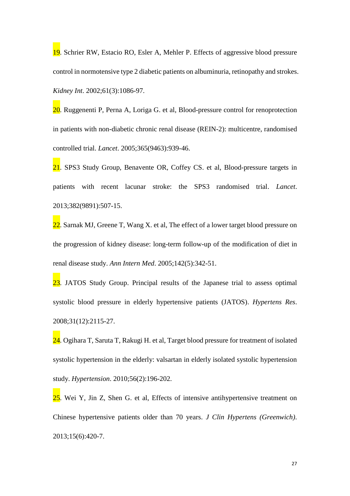19. Schrier RW, Estacio RO, Esler A, Mehler P. Effects of aggressive blood pressure control in normotensive type 2 diabetic patients on albuminuria, retinopathy and strokes. *Kidney Int*. 2002;61(3):1086-97.

20. Ruggenenti P, Perna A, Loriga G. et al, Blood-pressure control for renoprotection in patients with non-diabetic chronic renal disease (REIN-2): multicentre, randomised controlled trial. *Lancet*. 2005;365(9463):939-46.

21. SPS3 Study Group, Benavente OR, Coffey CS. et al, Blood-pressure targets in patients with recent lacunar stroke: the SPS3 randomised trial. *Lancet*. 2013;382(9891):507-15.

22. Sarnak MJ, Greene T, Wang X, et al, The effect of a lower target blood pressure on the progression of kidney disease: long-term follow-up of the modification of diet in renal disease study. *Ann Intern Med*. 2005;142(5):342-51.

23. JATOS Study Group. Principal results of the Japanese trial to assess optimal systolic blood pressure in elderly hypertensive patients (JATOS). *Hypertens Res*. 2008;31(12):2115-27.

24. Ogihara T, Saruta T, Rakugi H. et al, Target blood pressure for treatment of isolated systolic hypertension in the elderly: valsartan in elderly isolated systolic hypertension study. *Hypertension*. 2010;56(2):196-202.

25. Wei Y, Jin Z, Shen G. et al, Effects of intensive antihypertensive treatment on Chinese hypertensive patients older than 70 years. *J Clin Hypertens (Greenwich)*. 2013;15(6):420-7.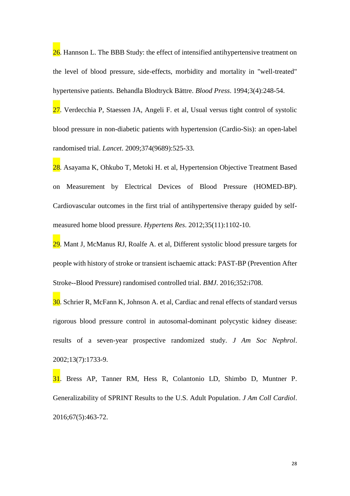26. Hannson L. The BBB Study: the effect of intensified antihypertensive treatment on the level of blood pressure, side-effects, morbidity and mortality in "well-treated" hypertensive patients. Behandla Blodtryck Bättre. *Blood Press*. 1994;3(4):248-54.

27. Verdecchia P, Staessen JA, Angeli F. et al, Usual versus tight control of systolic blood pressure in non-diabetic patients with hypertension (Cardio-Sis): an open-label randomised trial. *Lancet*. 2009;374(9689):525-33.

28. Asayama K, Ohkubo T, Metoki H. et al, Hypertension Objective Treatment Based on Measurement by Electrical Devices of Blood Pressure (HOMED-BP). Cardiovascular outcomes in the first trial of antihypertensive therapy guided by selfmeasured home blood pressure. *Hypertens Res*. 2012;35(11):1102-10.

29. Mant J, McManus RJ, Roalfe A, et al, Different systolic blood pressure targets for people with history of stroke or transient ischaemic attack: PAST-BP (Prevention After Stroke--Blood Pressure) randomised controlled trial. *BMJ*. 2016;352:i708.

30. Schrier R, McFann K, Johnson A. et al, Cardiac and renal effects of standard versus rigorous blood pressure control in autosomal-dominant polycystic kidney disease: results of a seven-year prospective randomized study. *J Am Soc Nephrol*. 2002;13(7):1733-9.

31. Bress AP, Tanner RM, Hess R, Colantonio LD, Shimbo D, Muntner P. Generalizability of SPRINT Results to the U.S. Adult Population. *J Am Coll Cardiol*. 2016;67(5):463-72.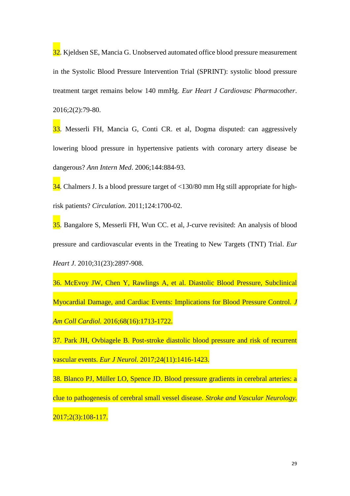32. Kjeldsen SE, Mancia G. Unobserved automated office blood pressure measurement in the Systolic Blood Pressure Intervention Trial (SPRINT): systolic blood pressure treatment target remains below 140 mmHg. *Eur Heart J Cardiovasc Pharmacother*. 2016;2(2):79-80.

33. Messerli FH, Mancia G, Conti CR. et al, Dogma disputed: can aggressively lowering blood pressure in hypertensive patients with coronary artery disease be dangerous? *Ann Intern Med*. 2006;144:884-93.

 $34$ . Chalmers J. Is a blood pressure target of <130/80 mm Hg still appropriate for highrisk patients? *Circulation*. 2011;124:1700-02.

35. Bangalore S, Messerli FH, Wun CC. et al, J-curve revisited: An analysis of blood pressure and cardiovascular events in the Treating to New Targets (TNT) Trial. *Eur Heart J*. 2010;31(23):2897-908.

36. McEvoy JW, Chen Y, Rawlings A, et al. Diastolic Blood Pressure, Subclinical Myocardial Damage, and Cardiac Events: Implications for Blood Pressure Control. *J Am Coll Cardiol.* 2016;68(16):1713-1722.

37. Park JH, Ovbiagele B. Post-stroke diastolic blood pressure and risk of recurrent vascular events. *Eur J Neurol.* 2017;24(11):1416-1423.

38. Blanco PJ, Müller LO, Spence JD. Blood pressure gradients in cerebral arteries: a clue to pathogenesis of cerebral small vessel disease. *Stroke and Vascular Neurology.* 2017;2(3):108-117.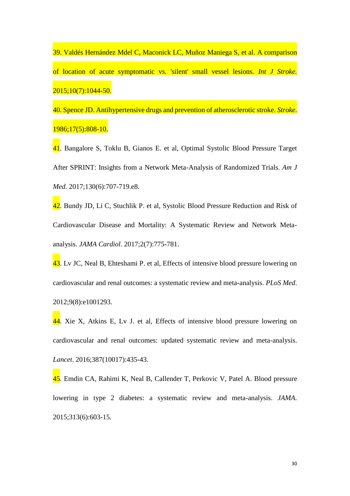39. Valdés Hernández Mdel C, Maconick LC, Muñoz Maniega S, et al. A comparison of location of acute symptomatic vs. 'silent' small vessel lesions. *Int J Stroke.* 2015;10(7):1044-50.

40. Spence JD. Antihypertensive drugs and prevention of atherosclerotic stroke. *Stroke*. 1986;17(5):808-10.

41. Bangalore S, Toklu B, Gianos E. et al, Optimal Systolic Blood Pressure Target After SPRINT: Insights from a Network Meta-Analysis of Randomized Trials. *Am J Med*. 2017;130(6):707-719.e8.

42. Bundy JD, Li C, Stuchlik P. et al, Systolic Blood Pressure Reduction and Risk of Cardiovascular Disease and Mortality: A Systematic Review and Network Metaanalysis. *JAMA Cardiol*. 2017;2(7):775-781.

43. Lv JC, Neal B, Ehteshami P. et al, Effects of intensive blood pressure lowering on cardiovascular and renal outcomes: a systematic review and meta-analysis. *PLoS Med*. 2012;9(8):e1001293.

 $\frac{44}{1}$ . Xie X, Atkins E, Ly J, et al, Effects of intensive blood pressure lowering on cardiovascular and renal outcomes: updated systematic review and meta-analysis. *Lancet*. 2016;387(10017):435-43.

45. Emdin CA, Rahimi K, Neal B, Callender T, Perkovic V, Patel A. Blood pressure lowering in type 2 diabetes: a systematic review and meta-analysis. *JAMA*. 2015;313(6):603-15.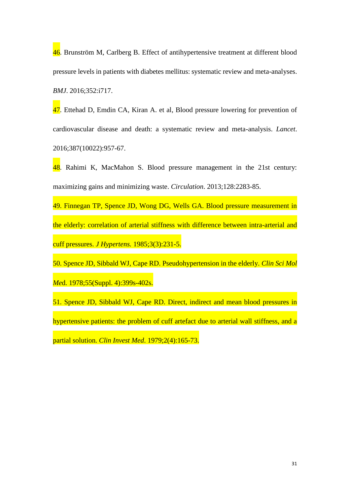46. Brunström M, Carlberg B. Effect of antihypertensive treatment at different blood pressure levels in patients with diabetes mellitus: systematic review and meta-analyses. *BMJ*. 2016;352:i717.

47. Ettehad D, Emdin CA, Kiran A. et al, Blood pressure lowering for prevention of cardiovascular disease and death: a systematic review and meta-analysis. *Lancet*. 2016;387(10022):957-67.

48. Rahimi K, MacMahon S. Blood pressure management in the 21st century: maximizing gains and minimizing waste. *Circulation*. 2013;128:2283-85.

49. Finnegan TP, Spence JD, Wong DG, Wells GA. Blood pressure measurement in the elderly: correlation of arterial stiffness with difference between intra-arterial and cuff pressures. *J Hypertens.* 1985;3(3):231-5.

50. Spence JD, Sibbald WJ, Cape RD. Pseudohypertension in the elderly. *Clin Sci Mol Me*d. 1978;55(Suppl. 4):399s-402s.

51. Spence JD, Sibbald WJ, Cape RD. Direct, indirect and mean blood pressures in hypertensive patients: the problem of cuff artefact due to arterial wall stiffness, and a partial solution. *Clin Invest Med*. 1979;2(4):165-73.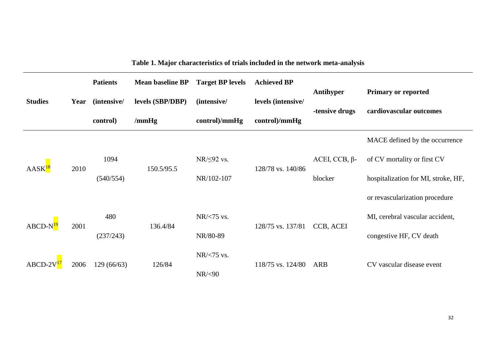**Table 1. Major characteristics of trials included in the network meta-analysis**

|                    |      | <b>Patients</b> | <b>Mean baseline BP</b> | <b>Target BP levels</b> | <b>Achieved BP</b> |                      |                                     |
|--------------------|------|-----------------|-------------------------|-------------------------|--------------------|----------------------|-------------------------------------|
| <b>Studies</b>     | Year | (intensive/     | levels (SBP/DBP)        | (intensive/             | levels (intensive/ | <b>Antihyper</b>     | <b>Primary or reported</b>          |
|                    |      | control)        | $/\text{mmHg}$          | control)/mmHg           | control/mmHg       | -tensive drugs       | cardiovascular outcomes             |
|                    |      |                 |                         |                         |                    |                      | MACE defined by the occurrence      |
| AASK <sup>18</sup> | 2010 | 1094            | 150.5/95.5              | $NR/\leq 92$ vs.        | 128/78 vs. 140/86  | $ACEI, CCB, \beta$ - | of CV mortality or first CV         |
|                    |      | (540/554)       |                         | NR/102-107              |                    | blocker              | hospitalization for MI, stroke, HF, |
|                    |      |                 |                         |                         |                    |                      | or revascularization procedure      |
| $ABCD-N19$         | 2001 | 480             | 136.4/84                | NR/<75 vs.              | 128/75 vs. 137/81  | CCB, ACEI            | MI, cerebral vascular accident,     |
|                    |      | (237/243)       |                         | NR/80-89                |                    |                      | congestive HF, CV death             |
| ABCD-2             |      |                 | 126/84<br>129(66/63)    | NR/<75 vs.              | 118/75 vs. 124/80  | ARB                  |                                     |
|                    | 2006 |                 |                         | $NR$ /<90               |                    |                      | CV vascular disease event           |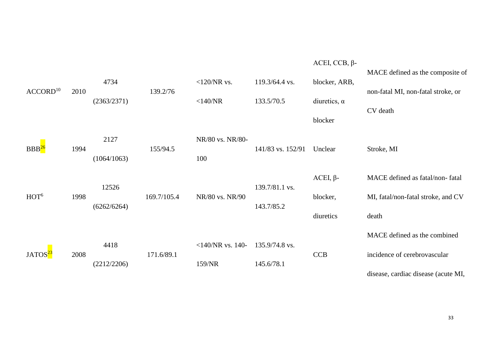|                      |      | 4734        |             | $<$ 120/NR vs.      | 119.3/64.4 vs.    | $ACEI, CCB, \beta$ -<br>blocker, ARB, | MACE defined as the composite of               |
|----------------------|------|-------------|-------------|---------------------|-------------------|---------------------------------------|------------------------------------------------|
| ACCORD <sup>10</sup> | 2010 | (2363/2371) | 139.2/76    | $<$ 140/NR          | 133.5/70.5        | diuretics, $\alpha$                   | non-fatal MI, non-fatal stroke, or<br>CV death |
|                      |      |             |             |                     |                   | blocker                               |                                                |
| BBB <sup>26</sup>    | 1994 | 2127        | 155/94.5    | NR/80 vs. NR/80-    | 141/83 vs. 152/91 | Unclear                               | Stroke, MI                                     |
|                      |      | (1064/1063) |             | 100                 |                   |                                       |                                                |
|                      |      |             |             |                     |                   | $ACEI, \beta-$                        | MACE defined as fatal/non-fatal                |
| HOT <sup>6</sup>     | 1998 | 12526       | 169.7/105.4 | NR/80 vs. NR/90     | 139.7/81.1 vs.    | blocker,                              | MI, fatal/non-fatal stroke, and CV             |
|                      |      | (6262/6264) |             |                     | 143.7/85.2        | diuretics                             | death                                          |
|                      |      |             |             |                     |                   |                                       | MACE defined as the combined                   |
| JATOS <sup>23</sup>  | 2008 | 4418        | 171.6/89.1  | $<$ 140/NR vs. 140- | 135.9/74.8 vs.    | <b>CCB</b>                            | incidence of cerebrovascular                   |
|                      |      | (2212/2206) |             | 159/NR              | 145.6/78.1        |                                       | disease, cardiac disease (acute MI,            |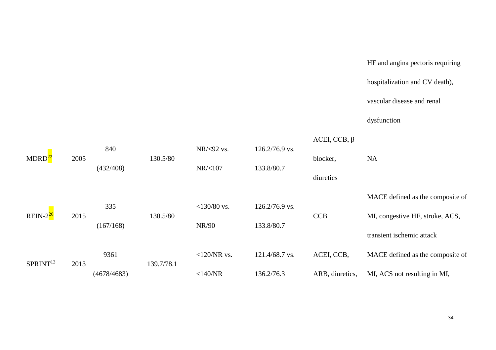# HF and angina pectoris requiring

hospitalization and CV death),

vascular disease and renal

dysfunction

| MDRD <sup>22</sup>   |      | 840                   | 130.5/80            | NR/<92 vs.<br>$126.2/76.9$ vs. |                | $ACEI, CCB, \beta$ -      |                                  |  |
|----------------------|------|-----------------------|---------------------|--------------------------------|----------------|---------------------------|----------------------------------|--|
|                      | 2005 | (432/408)             |                     | NR/<107                        | 133.8/80.7     | blocker,                  | <b>NA</b>                        |  |
|                      |      |                       |                     |                                |                | diuretics                 |                                  |  |
|                      |      | 335                   |                     | $<$ 130/80 vs.                 | 126.2/76.9 vs. |                           | MACE defined as the composite of |  |
| $REIN-220$           | 2015 | 130.5/80<br>(167/168) |                     |                                |                | <b>CCB</b>                | MI, congestive HF, stroke, ACS,  |  |
|                      |      |                       | 133.8/80.7<br>NR/90 |                                |                | transient ischemic attack |                                  |  |
| SPRINT <sup>13</sup> | 2013 | 9361                  | 139.7/78.1          | $<$ 120/NR vs.                 | 121.4/68.7 vs. | ACEI, CCB,                | MACE defined as the composite of |  |
|                      |      | (4678/4683)           |                     | $<$ 140/NR                     | 136.2/76.3     | ARB, diuretics,           | MI, ACS not resulting in MI,     |  |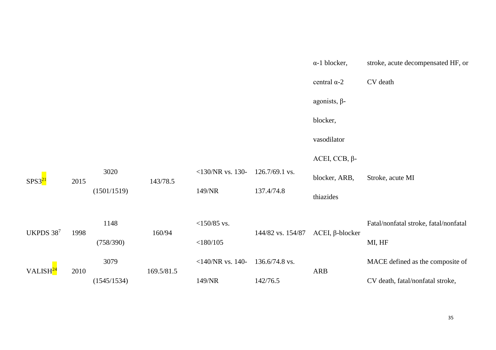|                      |      |             |            |                     |                   | $\alpha$ -1 blocker,      | stroke, acute decompensated HF, or    |
|----------------------|------|-------------|------------|---------------------|-------------------|---------------------------|---------------------------------------|
|                      |      |             |            |                     |                   | central $\alpha$ -2       | CV death                              |
|                      |      |             |            |                     |                   | agonists, $\beta$ -       |                                       |
|                      |      |             |            |                     |                   | blocker,                  |                                       |
|                      |      |             |            |                     |                   | vasodilator               |                                       |
|                      |      |             |            |                     |                   | $ACEI, CCB, \beta$ -      |                                       |
| SPS3 <sup>21</sup>   | 2015 | 3020        | 143/78.5   | $<$ 130/NR vs. 130- | 126.7/69.1 vs.    | blocker, ARB,             | Stroke, acute MI                      |
|                      |      | (1501/1519) |            | 149/NR              | 137.4/74.8        | thiazides                 |                                       |
|                      | 1998 | 1148        |            | $<$ 150/85 vs.      |                   | $ACEI$ , $\beta$ -blocker | Fatal/nonfatal stroke, fatal/nonfatal |
| UKPDS 387            |      | (758/390)   | 160/94     | $<$ 180/105         | 144/82 vs. 154/87 |                           | MI, HF                                |
| VALISH <sup>24</sup> |      | 3079        |            | $<$ 140/NR vs. 140- | 136.6/74.8 vs.    |                           | MACE defined as the composite of      |
|                      | 2010 | (1545/1534) | 169.5/81.5 | 149/NR              | 142/76.5          | <b>ARB</b>                | CV death, fatal/nonfatal stroke,      |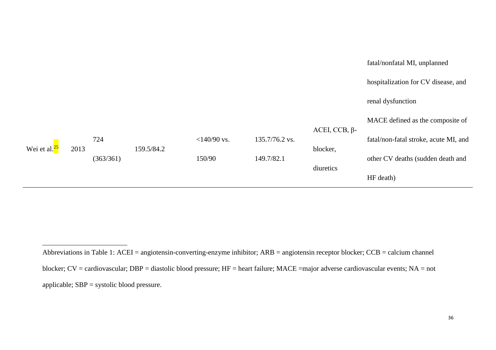|                          |      |           |            |                |                |                      | fatal/nonfatal MI, unplanned          |
|--------------------------|------|-----------|------------|----------------|----------------|----------------------|---------------------------------------|
|                          |      |           |            |                |                |                      | hospitalization for CV disease, and   |
|                          |      |           |            |                |                |                      | renal dysfunction                     |
|                          |      |           |            |                |                |                      | MACE defined as the composite of      |
|                          |      | 724       |            | $<$ 140/90 vs. | 135.7/76.2 vs. | $ACEI, CCB, \beta$ - | fatal/non-fatal stroke, acute MI, and |
| Wei et al. <sup>25</sup> | 2013 |           | 159.5/84.2 |                |                | blocker,             |                                       |
|                          |      | (363/361) |            | 150/90         | 149.7/82.1     |                      | other CV deaths (sudden death and     |
|                          |      |           |            |                |                | diuretics            | HF death)                             |

1

Abbreviations in Table 1: ACEI = angiotensin-converting-enzyme inhibitor; ARB = angiotensin receptor blocker; CCB = calcium channel blocker; CV = cardiovascular; DBP = diastolic blood pressure; HF = heart failure; MACE =major adverse cardiovascular events; NA = not applicable; SBP = systolic blood pressure.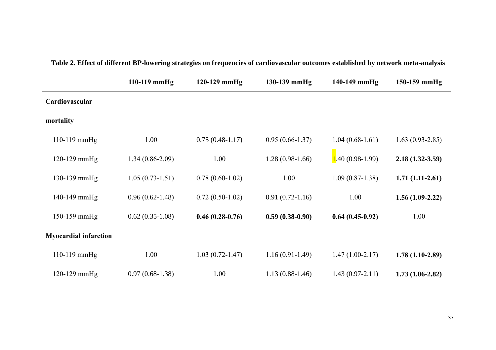|                              | $110-119$ mmHg    | 120-129 mmHg        | 130-139 mmHg        | 140-149 mmHg      | 150-159 mmHg      |
|------------------------------|-------------------|---------------------|---------------------|-------------------|-------------------|
| Cardiovascular               |                   |                     |                     |                   |                   |
| mortality                    |                   |                     |                     |                   |                   |
| 110-119 mmHg                 | 1.00              | $0.75(0.48-1.17)$   | $0.95(0.66 - 1.37)$ | $1.04(0.68-1.61)$ | $1.63(0.93-2.85)$ |
| 120-129 mmHg                 | $1.34(0.86-2.09)$ | 1.00                | $1.28(0.98-1.66)$   | $1.40(0.98-1.99)$ | $2.18(1.32-3.59)$ |
| 130-139 mmHg                 | $1.05(0.73-1.51)$ | $0.78(0.60-1.02)$   | 1.00                | $1.09(0.87-1.38)$ | $1.71(1.11-2.61)$ |
| 140-149 mmHg                 | $0.96(0.62-1.48)$ | $0.72(0.50-1.02)$   | $0.91(0.72-1.16)$   | 1.00              | $1.56(1.09-2.22)$ |
| $150-159$ mmHg               | $0.62(0.35-1.08)$ | $0.46(0.28-0.76)$   | $0.59(0.38-0.90)$   | $0.64(0.45-0.92)$ | 1.00              |
| <b>Myocardial infarction</b> |                   |                     |                     |                   |                   |
| 110-119 mmHg                 | 1.00              | $1.03(0.72 - 1.47)$ | $1.16(0.91-1.49)$   | $1.47(1.00-2.17)$ | $1.78(1.10-2.89)$ |
| 120-129 mmHg                 | $0.97(0.68-1.38)$ | 1.00                | $1.13(0.88-1.46)$   | $1.43(0.97-2.11)$ | $1.73(1.06-2.82)$ |

# **Table 2. Effect of different BP-lowering strategies on frequencies of cardiovascular outcomes established by network meta-analysis**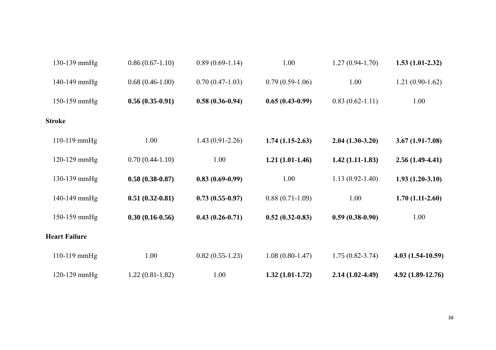| 130-139 mmHg         | $0.86(0.67-1.10)$   | $0.89(0.69-1.14)$   | 1.00              | $1.27(0.94-1.70)$   | $1.53(1.01-2.32)$   |
|----------------------|---------------------|---------------------|-------------------|---------------------|---------------------|
| 140-149 mmHg         | $0.68(0.46-1.00)$   | $0.70(0.47-1.03)$   | $0.79(0.59-1.06)$ | 1.00                | $1.21(0.90-1.62)$   |
| 150-159 mmHg         | $0.56(0.35-0.91)$   | $0.58(0.36-0.94)$   | $0.65(0.43-0.99)$ | $0.83(0.62 - 1.11)$ | 1.00                |
| <b>Stroke</b>        |                     |                     |                   |                     |                     |
| 110-119 mmHg         | 1.00                | $1.43(0.91 - 2.26)$ | $1.74(1.15-2.63)$ | $2.04(1.30-3.20)$   | $3.67(1.91 - 7.08)$ |
| 120-129 mmHg         | $0.70(0.44-1.10)$   | 1.00                | $1.21(1.01-1.46)$ | $1.42(1.11-1.83)$   | $2.56(1.49-4.41)$   |
| 130-139 mmHg         | $0.58(0.38-0.87)$   | $0.83(0.69-0.99)$   | 1.00              | $1.13(0.92 - 1.40)$ | $1.93(1.20-3.10)$   |
| 140-149 mmHg         | $0.51(0.32-0.81)$   | $0.73(0.55-0.97)$   | $0.88(0.71-1.09)$ | 1.00                | $1.70(1.11-2.60)$   |
| 150-159 mmHg         | $0.30(0.16 - 0.56)$ | $0.43(0.26-0.71)$   | $0.52(0.32-0.83)$ | $0.59(0.38-0.90)$   | 1.00                |
| <b>Heart Failure</b> |                     |                     |                   |                     |                     |
| $110-119$ mmHg       | 1.00                | $0.82(0.55-1.23)$   | $1.08(0.80-1.47)$ | $1.75(0.82 - 3.74)$ | 4.03 (1.54-10.59)   |
| 120-129 mmHg         | $1.22(0.81-1.82)$   | 1.00                | $1.32(1.01-1.72)$ | $2.14(1.02-4.49)$   | 4.92 (1.89-12.76)   |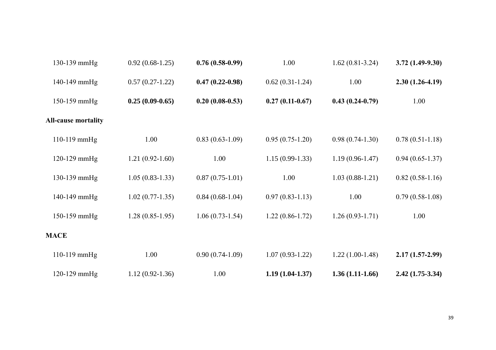| 130-139 mmHg               | $0.92(0.68-1.25)$ | $0.76(0.58-0.99)$ | 1.00              | $1.62(0.81-3.24)$   | $3.72(1.49-9.30)$ |
|----------------------------|-------------------|-------------------|-------------------|---------------------|-------------------|
| 140-149 mmHg               | $0.57(0.27-1.22)$ | $0.47(0.22-0.98)$ | $0.62(0.31-1.24)$ | 1.00                | $2.30(1.26-4.19)$ |
| 150-159 mmHg               | $0.25(0.09-0.65)$ | $0.20(0.08-0.53)$ | $0.27(0.11-0.67)$ | $0.43(0.24-0.79)$   | 1.00              |
| <b>All-cause mortality</b> |                   |                   |                   |                     |                   |
| 110-119 mmHg               | 1.00              | $0.83(0.63-1.09)$ | $0.95(0.75-1.20)$ | $0.98(0.74-1.30)$   | $0.78(0.51-1.18)$ |
| $120-129$ mmHg             | $1.21(0.92-1.60)$ | 1.00              | $1.15(0.99-1.33)$ | $1.19(0.96 - 1.47)$ | $0.94(0.65-1.37)$ |
| 130-139 mmHg               | $1.05(0.83-1.33)$ | $0.87(0.75-1.01)$ | 1.00              | $1.03(0.88-1.21)$   | $0.82(0.58-1.16)$ |
| 140-149 mmHg               | $1.02(0.77-1.35)$ | $0.84(0.68-1.04)$ | $0.97(0.83-1.13)$ | 1.00                | $0.79(0.58-1.08)$ |
| 150-159 mmHg               | $1.28(0.85-1.95)$ | $1.06(0.73-1.54)$ | $1.22(0.86-1.72)$ | $1.26(0.93-1.71)$   | 1.00              |
| <b>MACE</b>                |                   |                   |                   |                     |                   |
| $110-119$ mmHg             | 1.00              | $0.90(0.74-1.09)$ | $1.07(0.93-1.22)$ | $1.22(1.00-1.48)$   | $2.17(1.57-2.99)$ |
| $120-129$ mmHg             | $1.12(0.92-1.36)$ | 1.00              | $1.19(1.04-1.37)$ | $1.36(1.11-1.66)$   | $2.42(1.75-3.34)$ |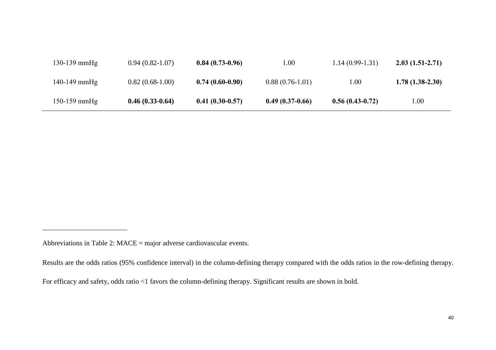| $130-139$ mmHg | $0.94(0.82-1.07)$ | $0.84(0.73-0.96)$ | $1.00\,$          | $1.14(0.99-1.31)$ | $2.03(1.51-2.71)$ |
|----------------|-------------------|-------------------|-------------------|-------------------|-------------------|
| $140-149$ mmHg | $0.82(0.68-1.00)$ | $0.74(0.60-0.90)$ | $0.88(0.76-1.01)$ | 00.1              | $1.78(1.38-2.30)$ |
| 150-159 mmHg   | $0.46(0.33-0.64)$ | $0.41(0.30-0.57)$ | $0.49(0.37-0.66)$ | $0.56(0.43-0.72)$ | 00.1              |

1

Abbreviations in Table 2: MACE = major adverse cardiovascular events.

Results are the odds ratios (95% confidence interval) in the column-defining therapy compared with the odds ratios in the row-defining therapy.

For efficacy and safety, odds ratio <1 favors the column-defining therapy. Significant results are shown in bold.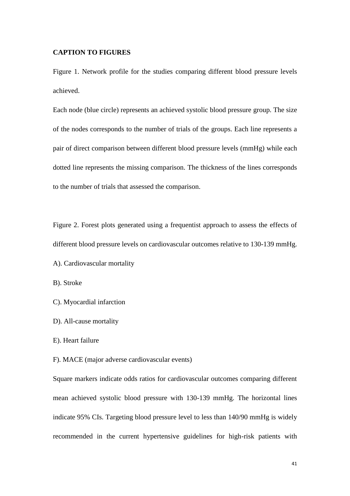#### **CAPTION TO FIGURES**

Figure 1. Network profile for the studies comparing different blood pressure levels achieved.

Each node (blue circle) represents an achieved systolic blood pressure group. The size of the nodes corresponds to the number of trials of the groups. Each line represents a pair of direct comparison between different blood pressure levels (mmHg) while each dotted line represents the missing comparison. The thickness of the lines corresponds to the number of trials that assessed the comparison.

Figure 2. Forest plots generated using a frequentist approach to assess the effects of different blood pressure levels on cardiovascular outcomes relative to 130-139 mmHg.

A). Cardiovascular mortality

B). Stroke

- C). Myocardial infarction
- D). All-cause mortality
- E). Heart failure

F). MACE (major adverse cardiovascular events)

Square markers indicate odds ratios for cardiovascular outcomes comparing different mean achieved systolic blood pressure with 130-139 mmHg. The horizontal lines indicate 95% CIs. Targeting blood pressure level to less than 140/90 mmHg is widely recommended in the current hypertensive guidelines for high-risk patients with